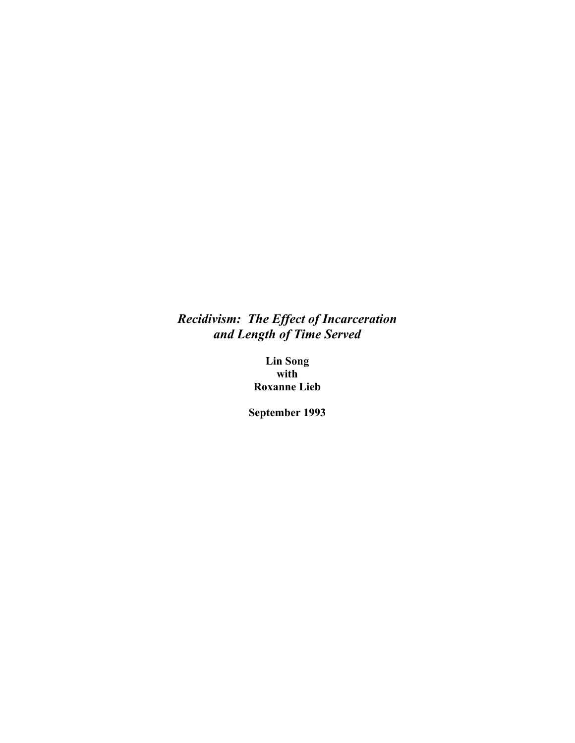# *Recidivism: The Effect of Incarceration and Length of Time Served*

**Lin Song with Roxanne Lieb** 

**September 1993**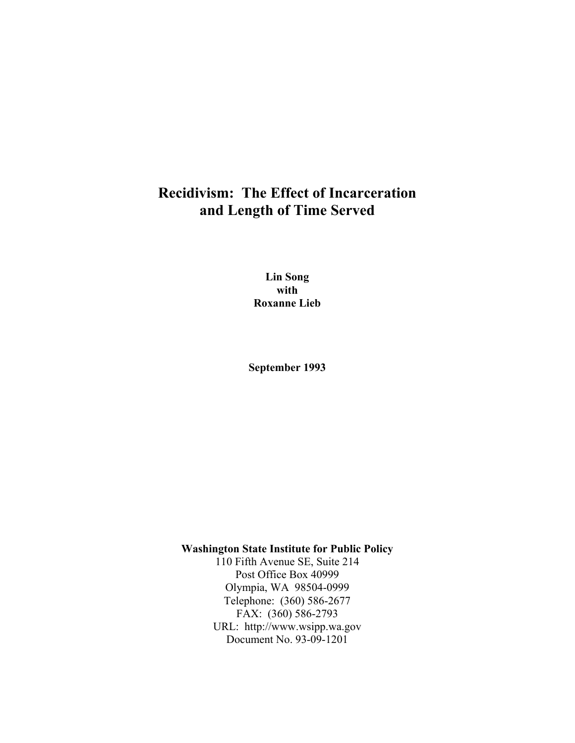# **Recidivism: The Effect of Incarceration and Length of Time Served**

**Lin Song with Roxanne Lieb** 

**September 1993** 

**Washington State Institute for Public Policy** 

110 Fifth Avenue SE, Suite 214 Post Office Box 40999 Olympia, WA 98504-0999 Telephone: (360) 586-2677 FAX: (360) 586-2793 URL: http://www.wsipp.wa.gov Document No. 93-09-1201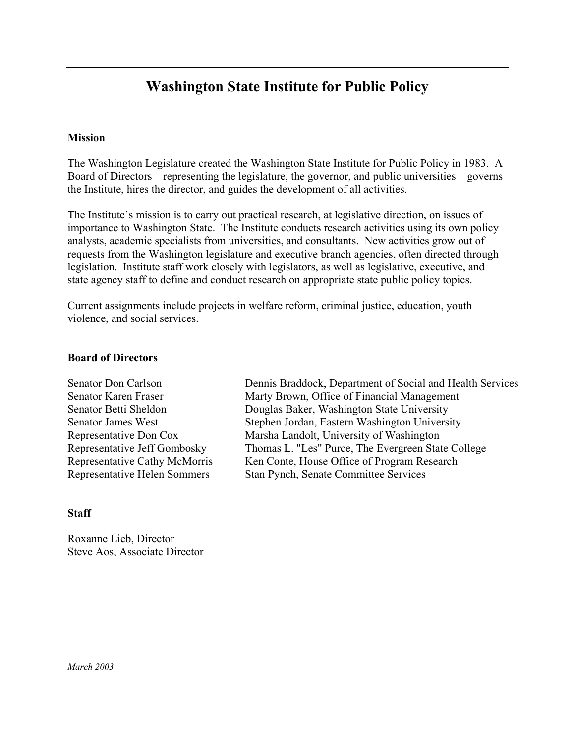# **Washington State Institute for Public Policy**

#### **Mission**

The Washington Legislature created the Washington State Institute for Public Policy in 1983. A Board of Directors—representing the legislature, the governor, and public universities—governs the Institute, hires the director, and guides the development of all activities.

The Institute's mission is to carry out practical research, at legislative direction, on issues of importance to Washington State. The Institute conducts research activities using its own policy analysts, academic specialists from universities, and consultants. New activities grow out of requests from the Washington legislature and executive branch agencies, often directed through legislation. Institute staff work closely with legislators, as well as legislative, executive, and state agency staff to define and conduct research on appropriate state public policy topics.

Current assignments include projects in welfare reform, criminal justice, education, youth violence, and social services.

#### **Board of Directors**

Senator Don Carlson Dennis Braddock, Department of Social and Health Services Senator Karen Fraser Marty Brown, Office of Financial Management Senator Betti Sheldon Douglas Baker, Washington State University Senator James West Stephen Jordan, Eastern Washington University Representative Don Cox Marsha Landolt, University of Washington Representative Jeff Gombosky Thomas L. "Les" Purce, The Evergreen State College Representative Cathy McMorris Ken Conte, House Office of Program Research Representative Helen Sommers Stan Pynch, Senate Committee Services

#### **Staff**

Roxanne Lieb, Director Steve Aos, Associate Director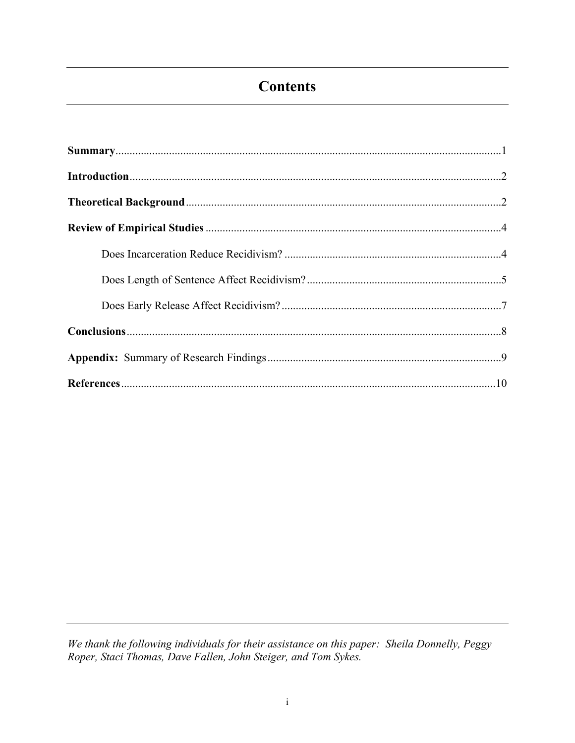# **Contents**

We thank the following individuals for their assistance on this paper: Sheila Donnelly, Peggy<br>Roper, Staci Thomas, Dave Fallen, John Steiger, and Tom Sykes.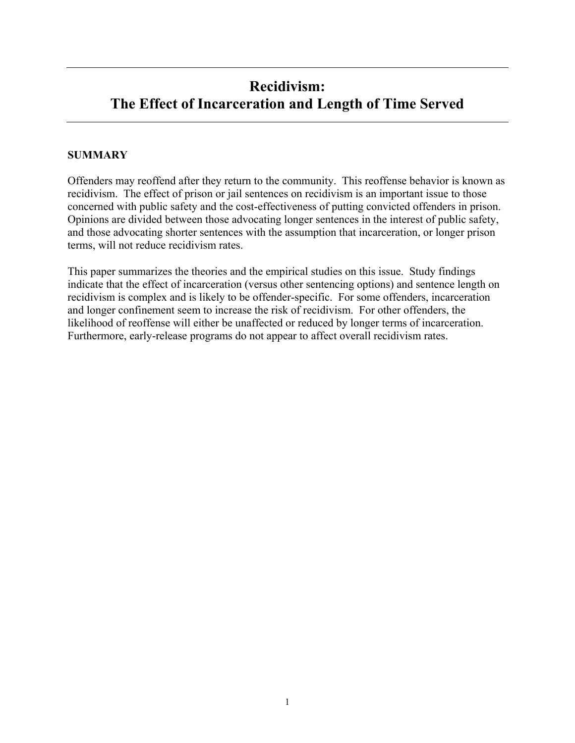# **Recidivism: The Effect of Incarceration and Length of Time Served**

## **SUMMARY**

Offenders may reoffend after they return to the community. This reoffense behavior is known as recidivism. The effect of prison or jail sentences on recidivism is an important issue to those concerned with public safety and the cost-effectiveness of putting convicted offenders in prison. Opinions are divided between those advocating longer sentences in the interest of public safety, and those advocating shorter sentences with the assumption that incarceration, or longer prison terms, will not reduce recidivism rates.

This paper summarizes the theories and the empirical studies on this issue. Study findings indicate that the effect of incarceration (versus other sentencing options) and sentence length on recidivism is complex and is likely to be offender-specific. For some offenders, incarceration and longer confinement seem to increase the risk of recidivism. For other offenders, the likelihood of reoffense will either be unaffected or reduced by longer terms of incarceration. Furthermore, early-release programs do not appear to affect overall recidivism rates.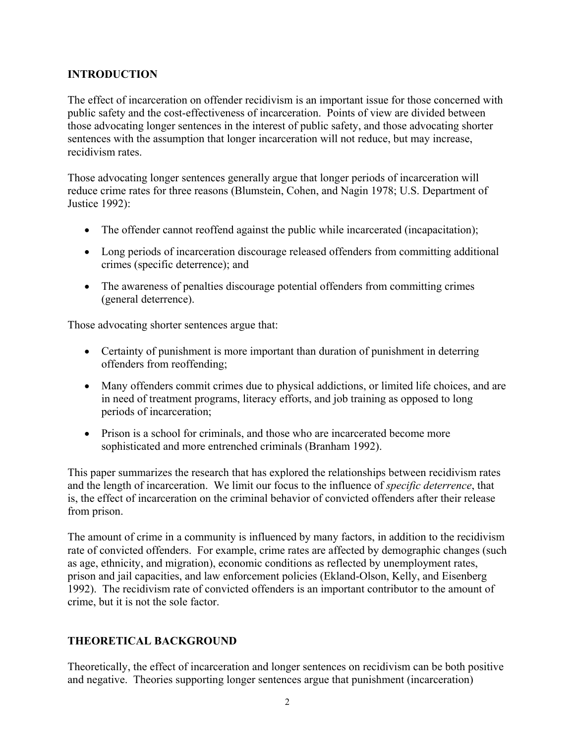## **INTRODUCTION**

The effect of incarceration on offender recidivism is an important issue for those concerned with public safety and the cost-effectiveness of incarceration. Points of view are divided between those advocating longer sentences in the interest of public safety, and those advocating shorter sentences with the assumption that longer incarceration will not reduce, but may increase, recidivism rates.

Those advocating longer sentences generally argue that longer periods of incarceration will reduce crime rates for three reasons (Blumstein, Cohen, and Nagin 1978; U.S. Department of Justice 1992):

- The offender cannot reoffend against the public while incarcerated (incapacitation);
- Long periods of incarceration discourage released offenders from committing additional crimes (specific deterrence); and
- The awareness of penalties discourage potential offenders from committing crimes (general deterrence).

Those advocating shorter sentences argue that:

- Certainty of punishment is more important than duration of punishment in deterring offenders from reoffending;
- Many offenders commit crimes due to physical addictions, or limited life choices, and are in need of treatment programs, literacy efforts, and job training as opposed to long periods of incarceration;
- Prison is a school for criminals, and those who are incarcerated become more sophisticated and more entrenched criminals (Branham 1992).

This paper summarizes the research that has explored the relationships between recidivism rates and the length of incarceration. We limit our focus to the influence of *specific deterrence*, that is, the effect of incarceration on the criminal behavior of convicted offenders after their release from prison.

The amount of crime in a community is influenced by many factors, in addition to the recidivism rate of convicted offenders. For example, crime rates are affected by demographic changes (such as age, ethnicity, and migration), economic conditions as reflected by unemployment rates, prison and jail capacities, and law enforcement policies (Ekland-Olson, Kelly, and Eisenberg 1992). The recidivism rate of convicted offenders is an important contributor to the amount of crime, but it is not the sole factor.

## **THEORETICAL BACKGROUND**

Theoretically, the effect of incarceration and longer sentences on recidivism can be both positive and negative. Theories supporting longer sentences argue that punishment (incarceration)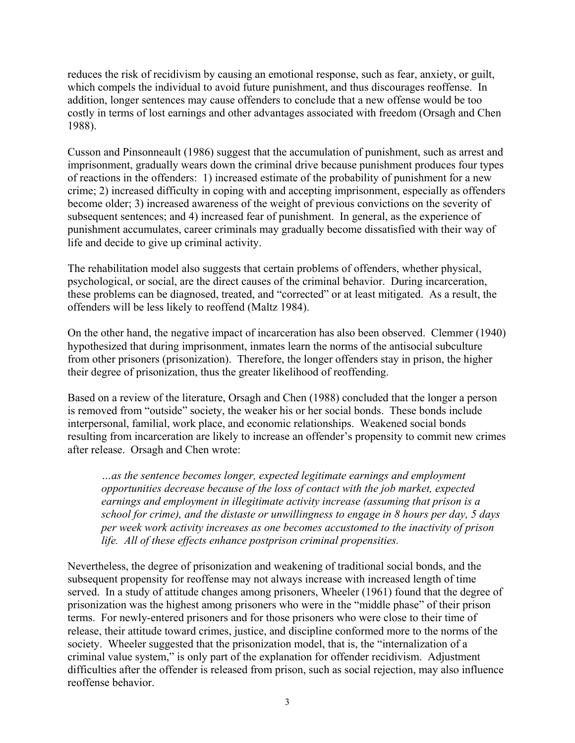reduces the risk of recidivism by causing an emotional response, such as fear, anxiety, or guilt, which compels the individual to avoid future punishment, and thus discourages reoffense. In addition, longer sentences may cause offenders to conclude that a new offense would be too costly in terms of lost earnings and other advantages associated with freedom (Orsagh and Chen 1988).

Cusson and Pinsonneault (1986) suggest that the accumulation of punishment, such as arrest and imprisonment, gradually wears down the criminal drive because punishment produces four types of reactions in the offenders: 1) increased estimate of the probability of punishment for a new crime; 2) increased difficulty in coping with and accepting imprisonment, especially as offenders become older; 3) increased awareness of the weight of previous convictions on the severity of subsequent sentences; and 4) increased fear of punishment. In general, as the experience of punishment accumulates, career criminals may gradually become dissatisfied with their way of life and decide to give up criminal activity.

The rehabilitation model also suggests that certain problems of offenders, whether physical, psychological, or social, are the direct causes of the criminal behavior. During incarceration, these problems can be diagnosed, treated, and "corrected" or at least mitigated. As a result, the offenders will be less likely to reoffend (Maltz 1984).

On the other hand, the negative impact of incarceration has also been observed. Clemmer (1940) hypothesized that during imprisonment, inmates learn the norms of the antisocial subculture from other prisoners (prisonization). Therefore, the longer offenders stay in prison, the higher their degree of prisonization, thus the greater likelihood of reoffending.

Based on a review of the literature, Orsagh and Chen (1988) concluded that the longer a person is removed from "outside" society, the weaker his or her social bonds. These bonds include interpersonal, familial, work place, and economic relationships. Weakened social bonds resulting from incarceration are likely to increase an offender's propensity to commit new crimes after release. Orsagh and Chen wrote:

*Öas the sentence becomes longer, expected legitimate earnings and employment opportunities decrease because of the loss of contact with the job market, expected earnings and employment in illegitimate activity increase (assuming that prison is a school for crime), and the distaste or unwillingness to engage in 8 hours per day, 5 days per week work activity increases as one becomes accustomed to the inactivity of prison life. All of these effects enhance postprison criminal propensities.* 

Nevertheless, the degree of prisonization and weakening of traditional social bonds, and the subsequent propensity for reoffense may not always increase with increased length of time served. In a study of attitude changes among prisoners, Wheeler (1961) found that the degree of prisonization was the highest among prisoners who were in the "middle phase" of their prison terms. For newly-entered prisoners and for those prisoners who were close to their time of release, their attitude toward crimes, justice, and discipline conformed more to the norms of the society. Wheeler suggested that the prisonization model, that is, the "internalization of a criminal value system," is only part of the explanation for offender recidivism. Adjustment difficulties after the offender is released from prison, such as social rejection, may also influence reoffense behavior.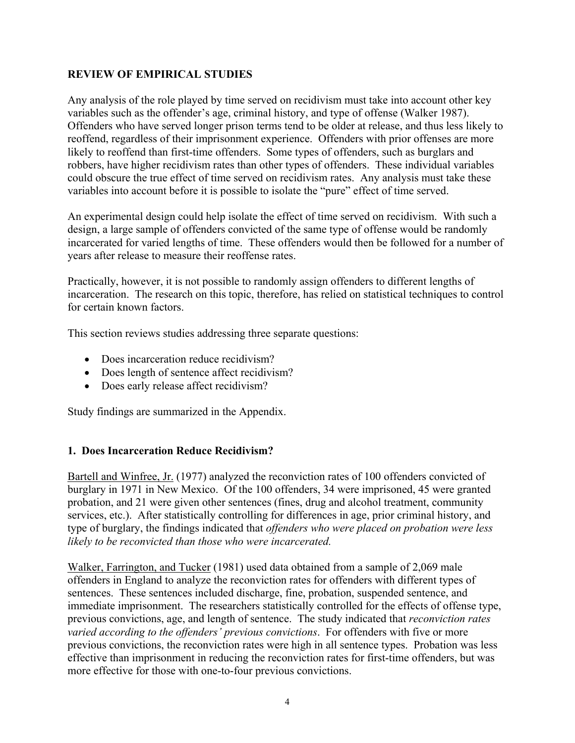## **REVIEW OF EMPIRICAL STUDIES**

Any analysis of the role played by time served on recidivism must take into account other key variables such as the offender's age, criminal history, and type of offense (Walker 1987). Offenders who have served longer prison terms tend to be older at release, and thus less likely to reoffend, regardless of their imprisonment experience. Offenders with prior offenses are more likely to reoffend than first-time offenders. Some types of offenders, such as burglars and robbers, have higher recidivism rates than other types of offenders. These individual variables could obscure the true effect of time served on recidivism rates. Any analysis must take these variables into account before it is possible to isolate the "pure" effect of time served.

An experimental design could help isolate the effect of time served on recidivism. With such a design, a large sample of offenders convicted of the same type of offense would be randomly incarcerated for varied lengths of time. These offenders would then be followed for a number of years after release to measure their reoffense rates.

Practically, however, it is not possible to randomly assign offenders to different lengths of incarceration. The research on this topic, therefore, has relied on statistical techniques to control for certain known factors.

This section reviews studies addressing three separate questions:

- Does incarceration reduce recidivism?
- Does length of sentence affect recidivism?
- Does early release affect recidivism?

Study findings are summarized in the Appendix.

## **1. Does Incarceration Reduce Recidivism?**

Bartell and Winfree, Jr. (1977) analyzed the reconviction rates of 100 offenders convicted of burglary in 1971 in New Mexico. Of the 100 offenders, 34 were imprisoned, 45 were granted probation, and 21 were given other sentences (fines, drug and alcohol treatment, community services, etc.). After statistically controlling for differences in age, prior criminal history, and type of burglary, the findings indicated that *offenders who were placed on probation were less likely to be reconvicted than those who were incarcerated.*

Walker, Farrington, and Tucker (1981) used data obtained from a sample of 2,069 male offenders in England to analyze the reconviction rates for offenders with different types of sentences. These sentences included discharge, fine, probation, suspended sentence, and immediate imprisonment. The researchers statistically controlled for the effects of offense type, previous convictions, age, and length of sentence. The study indicated that *reconviction rates varied according to the offenders' previous convictions*. For offenders with five or more previous convictions, the reconviction rates were high in all sentence types. Probation was less effective than imprisonment in reducing the reconviction rates for first-time offenders, but was more effective for those with one-to-four previous convictions.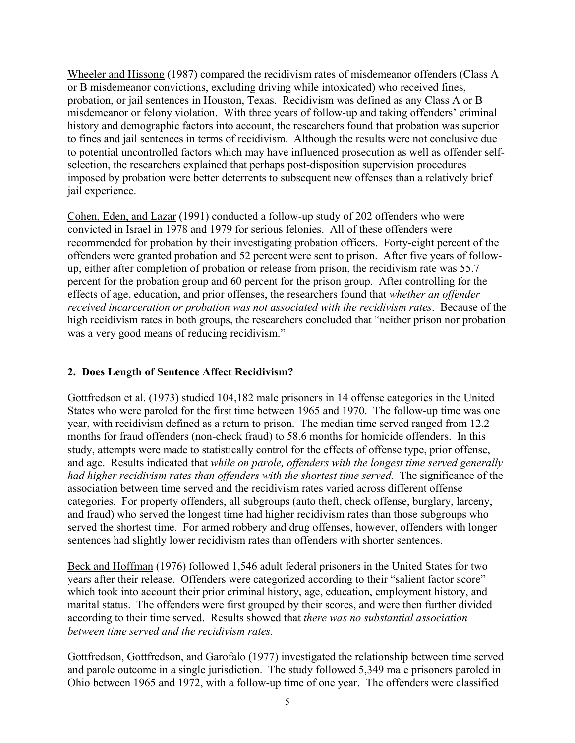Wheeler and Hissong (1987) compared the recidivism rates of misdemeanor offenders (Class A or B misdemeanor convictions, excluding driving while intoxicated) who received fines, probation, or jail sentences in Houston, Texas. Recidivism was defined as any Class A or B misdemeanor or felony violation. With three years of follow-up and taking offenders' criminal history and demographic factors into account, the researchers found that probation was superior to fines and jail sentences in terms of recidivism. Although the results were not conclusive due to potential uncontrolled factors which may have influenced prosecution as well as offender selfselection, the researchers explained that perhaps post-disposition supervision procedures imposed by probation were better deterrents to subsequent new offenses than a relatively brief jail experience.

Cohen, Eden, and Lazar (1991) conducted a follow-up study of 202 offenders who were convicted in Israel in 1978 and 1979 for serious felonies. All of these offenders were recommended for probation by their investigating probation officers. Forty-eight percent of the offenders were granted probation and 52 percent were sent to prison. After five years of followup, either after completion of probation or release from prison, the recidivism rate was 55.7 percent for the probation group and 60 percent for the prison group. After controlling for the effects of age, education, and prior offenses, the researchers found that *whether an offender received incarceration or probation was not associated with the recidivism rates*. Because of the high recidivism rates in both groups, the researchers concluded that "neither prison nor probation was a very good means of reducing recidivism."

# **2. Does Length of Sentence Affect Recidivism?**

Gottfredson et al. (1973) studied 104,182 male prisoners in 14 offense categories in the United States who were paroled for the first time between 1965 and 1970. The follow-up time was one year, with recidivism defined as a return to prison. The median time served ranged from 12.2 months for fraud offenders (non-check fraud) to 58.6 months for homicide offenders. In this study, attempts were made to statistically control for the effects of offense type, prior offense, and age. Results indicated that *while on parole, offenders with the longest time served generally had higher recidivism rates than offenders with the shortest time served.* The significance of the association between time served and the recidivism rates varied across different offense categories. For property offenders, all subgroups (auto theft, check offense, burglary, larceny, and fraud) who served the longest time had higher recidivism rates than those subgroups who served the shortest time. For armed robbery and drug offenses, however, offenders with longer sentences had slightly lower recidivism rates than offenders with shorter sentences.

Beck and Hoffman (1976) followed 1,546 adult federal prisoners in the United States for two years after their release. Offenders were categorized according to their "salient factor score" which took into account their prior criminal history, age, education, employment history, and marital status. The offenders were first grouped by their scores, and were then further divided according to their time served. Results showed that *there was no substantial association between time served and the recidivism rates.*

Gottfredson, Gottfredson, and Garofalo (1977) investigated the relationship between time served and parole outcome in a single jurisdiction. The study followed 5,349 male prisoners paroled in Ohio between 1965 and 1972, with a follow-up time of one year. The offenders were classified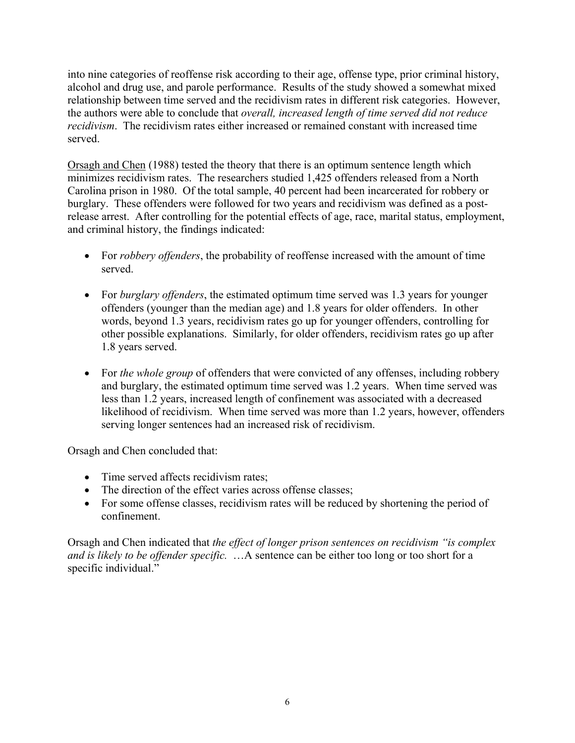into nine categories of reoffense risk according to their age, offense type, prior criminal history, alcohol and drug use, and parole performance. Results of the study showed a somewhat mixed relationship between time served and the recidivism rates in different risk categories. However, the authors were able to conclude that *overall, increased length of time served did not reduce recidivism*. The recidivism rates either increased or remained constant with increased time served.

Orsagh and Chen (1988) tested the theory that there is an optimum sentence length which minimizes recidivism rates. The researchers studied 1,425 offenders released from a North Carolina prison in 1980. Of the total sample, 40 percent had been incarcerated for robbery or burglary. These offenders were followed for two years and recidivism was defined as a postrelease arrest. After controlling for the potential effects of age, race, marital status, employment, and criminal history, the findings indicated:

- For *robbery offenders*, the probability of reoffense increased with the amount of time served.
- For *burglary offenders*, the estimated optimum time served was 1.3 years for younger offenders (younger than the median age) and 1.8 years for older offenders. In other words, beyond 1.3 years, recidivism rates go up for younger offenders, controlling for other possible explanations. Similarly, for older offenders, recidivism rates go up after 1.8 years served.
- For *the whole group* of offenders that were convicted of any offenses, including robbery and burglary, the estimated optimum time served was 1.2 years. When time served was less than 1.2 years, increased length of confinement was associated with a decreased likelihood of recidivism. When time served was more than 1.2 years, however, offenders serving longer sentences had an increased risk of recidivism.

Orsagh and Chen concluded that:

- Time served affects recidivism rates:
- The direction of the effect varies across offense classes;
- For some offense classes, recidivism rates will be reduced by shortening the period of confinement.

Orsagh and Chen indicated that *the effect of longer prison sentences on recidivism "is complex and is likely to be offender specific.*  $\ddots$  A sentence can be either too long or too short for a specific individual."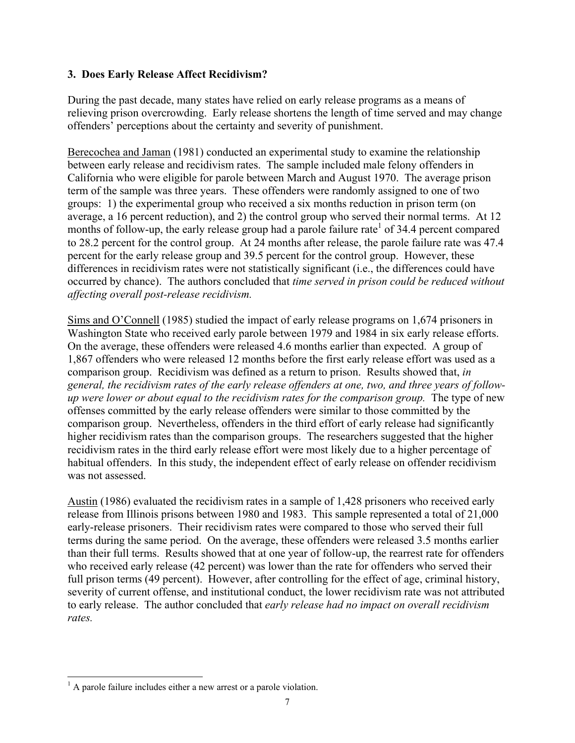## **3. Does Early Release Affect Recidivism?**

During the past decade, many states have relied on early release programs as a means of relieving prison overcrowding. Early release shortens the length of time served and may change offenders' perceptions about the certainty and severity of punishment.

Berecochea and Jaman (1981) conducted an experimental study to examine the relationship between early release and recidivism rates. The sample included male felony offenders in California who were eligible for parole between March and August 1970. The average prison term of the sample was three years. These offenders were randomly assigned to one of two groups: 1) the experimental group who received a six months reduction in prison term (on average, a 16 percent reduction), and 2) the control group who served their normal terms. At 12 months of follow-up, the early release group had a parole failure rate<sup>1</sup> of 34.4 percent compared to 28.2 percent for the control group. At 24 months after release, the parole failure rate was 47.4 percent for the early release group and 39.5 percent for the control group. However, these differences in recidivism rates were not statistically significant (i.e., the differences could have occurred by chance). The authors concluded that *time served in prison could be reduced without affecting overall post-release recidivism.*

Sims and O'Connell (1985) studied the impact of early release programs on 1,674 prisoners in Washington State who received early parole between 1979 and 1984 in six early release efforts. On the average, these offenders were released 4.6 months earlier than expected. A group of 1,867 offenders who were released 12 months before the first early release effort was used as a comparison group. Recidivism was defined as a return to prison. Results showed that, *in general, the recidivism rates of the early release offenders at one, two, and three years of followup were lower or about equal to the recidivism rates for the comparison group.* The type of new offenses committed by the early release offenders were similar to those committed by the comparison group. Nevertheless, offenders in the third effort of early release had significantly higher recidivism rates than the comparison groups. The researchers suggested that the higher recidivism rates in the third early release effort were most likely due to a higher percentage of habitual offenders. In this study, the independent effect of early release on offender recidivism was not assessed.

Austin (1986) evaluated the recidivism rates in a sample of 1,428 prisoners who received early release from Illinois prisons between 1980 and 1983. This sample represented a total of 21,000 early-release prisoners. Their recidivism rates were compared to those who served their full terms during the same period. On the average, these offenders were released 3.5 months earlier than their full terms. Results showed that at one year of follow-up, the rearrest rate for offenders who received early release (42 percent) was lower than the rate for offenders who served their full prison terms (49 percent). However, after controlling for the effect of age, criminal history, severity of current offense, and institutional conduct, the lower recidivism rate was not attributed to early release. The author concluded that *early release had no impact on overall recidivism rates.*

l

 $<sup>1</sup>$  A parole failure includes either a new arrest or a parole violation.</sup>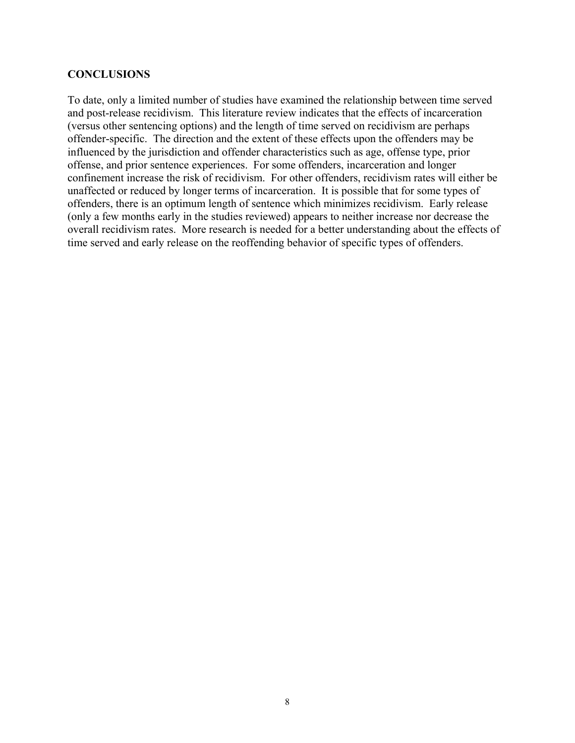#### **CONCLUSIONS**

To date, only a limited number of studies have examined the relationship between time served and post-release recidivism. This literature review indicates that the effects of incarceration (versus other sentencing options) and the length of time served on recidivism are perhaps offender-specific. The direction and the extent of these effects upon the offenders may be influenced by the jurisdiction and offender characteristics such as age, offense type, prior offense, and prior sentence experiences. For some offenders, incarceration and longer confinement increase the risk of recidivism. For other offenders, recidivism rates will either be unaffected or reduced by longer terms of incarceration. It is possible that for some types of offenders, there is an optimum length of sentence which minimizes recidivism. Early release (only a few months early in the studies reviewed) appears to neither increase nor decrease the overall recidivism rates. More research is needed for a better understanding about the effects of time served and early release on the reoffending behavior of specific types of offenders.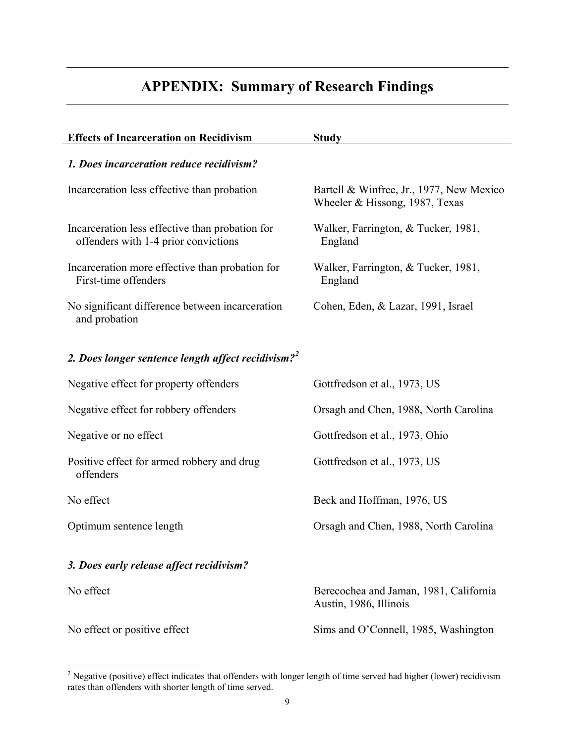# **APPENDIX: Summary of Research Findings**

| <b>Effects of Incarceration on Recidivism</b>                                           | <b>Study</b>                                                               |
|-----------------------------------------------------------------------------------------|----------------------------------------------------------------------------|
| 1. Does incarceration reduce recidivism?                                                |                                                                            |
| Incarceration less effective than probation                                             | Bartell & Winfree, Jr., 1977, New Mexico<br>Wheeler & Hissong, 1987, Texas |
| Incarceration less effective than probation for<br>offenders with 1-4 prior convictions | Walker, Farrington, & Tucker, 1981,<br>England                             |
| Incarceration more effective than probation for<br>First-time offenders                 | Walker, Farrington, & Tucker, 1981,<br>England                             |
| No significant difference between incarceration<br>and probation                        | Cohen, Eden, & Lazar, 1991, Israel                                         |
| 2. Does longer sentence length affect recidivism? <sup>2</sup>                          |                                                                            |
| Negative effect for property offenders                                                  | Gottfredson et al., 1973, US                                               |
| Negative effect for robbery offenders                                                   | Orsagh and Chen, 1988, North Carolina                                      |
| Negative or no effect                                                                   | Gottfredson et al., 1973, Ohio                                             |
| Positive effect for armed robbery and drug<br>offenders                                 | Gottfredson et al., 1973, US                                               |
| No effect                                                                               | Beck and Hoffman, 1976, US                                                 |
| Optimum sentence length                                                                 | Orsagh and Chen, 1988, North Carolina                                      |
| 3. Does early release affect recidivism?                                                |                                                                            |
| No effect                                                                               | Berecochea and Jaman, 1981, California<br>Austin, 1986, Illinois           |
| No effect or positive effect                                                            | Sims and O'Connell, 1985, Washington                                       |

<sup>&</sup>lt;sup>2</sup> Negative (positive) effect indicates that offenders with longer length of time served had higher (lower) recidivism rates than offenders with shorter length of time served.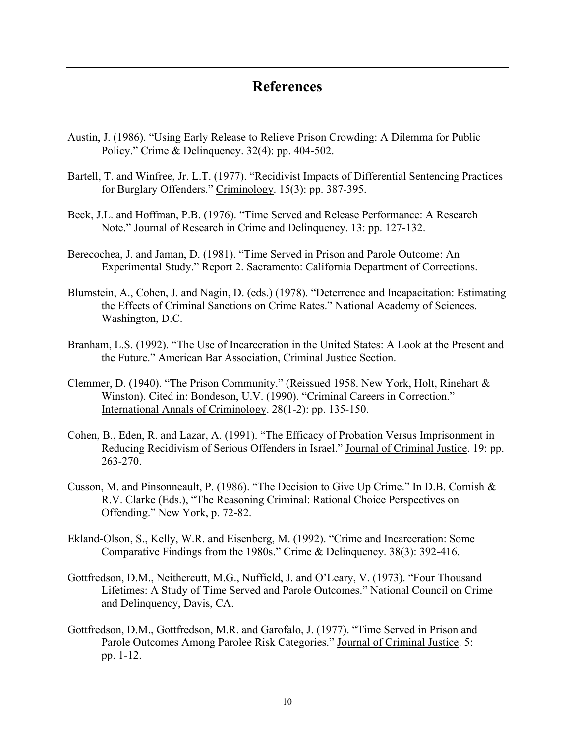# **References**

- Austin, J. (1986). "Using Early Release to Relieve Prison Crowding: A Dilemma for Public Policy." Crime & Delinquency.  $32(4)$ : pp. 404-502.
- Bartell, T. and Winfree, Jr. L.T. (1977). "Recidivist Impacts of Differential Sentencing Practices for Burglary Offenders." Criminology. 15(3): pp. 387-395.
- Beck, J.L. and Hoffman, P.B. (1976). "Time Served and Release Performance: A Research Note." Journal of Research in Crime and Delinguency. 13: pp. 127-132.
- Berecochea, J. and Jaman, D. (1981). "Time Served in Prison and Parole Outcome: An Experimental Study." Report 2. Sacramento: California Department of Corrections.
- Blumstein, A., Cohen, J. and Nagin, D. (eds.) (1978). "Deterrence and Incapacitation: Estimating the Effects of Criminal Sanctions on Crime Rates." National Academy of Sciences. Washington, D.C.
- Branham, L.S. (1992). "The Use of Incarceration in the United States: A Look at the Present and the Future." American Bar Association, Criminal Justice Section.
- Clemmer, D. (1940). "The Prison Community." (Reissued 1958. New York, Holt, Rinehart & Winston). Cited in: Bondeson, U.V. (1990). "Criminal Careers in Correction." International Annals of Criminology. 28(1-2): pp. 135-150.
- Cohen, B., Eden, R. and Lazar, A. (1991). "The Efficacy of Probation Versus Imprisonment in Reducing Recidivism of Serious Offenders in Israel." Journal of Criminal Justice. 19: pp. 263-270.
- Cusson, M. and Pinsonneault, P. (1986). "The Decision to Give Up Crime." In D.B. Cornish  $\&$ R.V. Clarke (Eds.), "The Reasoning Criminal: Rational Choice Perspectives on Offending." New York, p. 72-82.
- Ekland-Olson, S., Kelly, W.R. and Eisenberg, M. (1992). "Crime and Incarceration: Some Comparative Findings from the 1980s." Crime & Delinquency. 38(3): 392-416.
- Gottfredson, D.M., Neithercutt, M.G., Nuffield, J. and O'Leary, V. (1973). "Four Thousand Lifetimes: A Study of Time Served and Parole Outcomes." National Council on Crime and Delinquency, Davis, CA.
- Gottfredson, D.M., Gottfredson, M.R. and Garofalo, J. (1977). "Time Served in Prison and Parole Outcomes Among Parolee Risk Categories." Journal of Criminal Justice. 5: pp. 1-12.